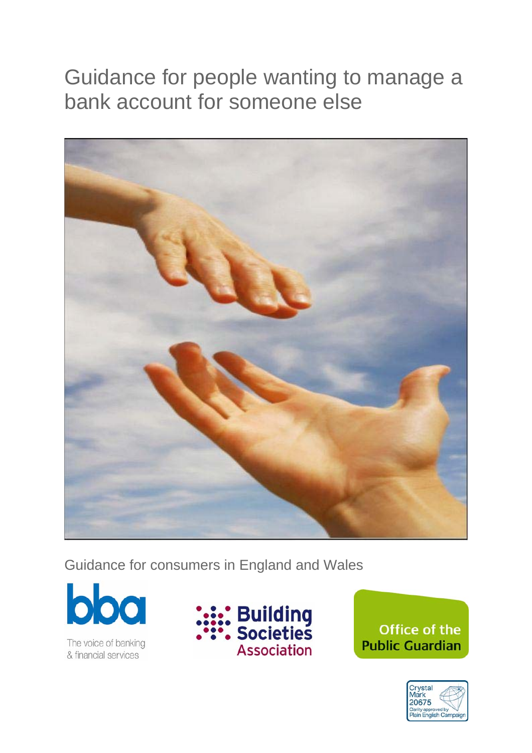# Guidance for people wanting to manage a bank account for someone else



Guidance for consumers in England and Wales



The voice of banking<br>& financial services



Office of the **Public Guardian** 

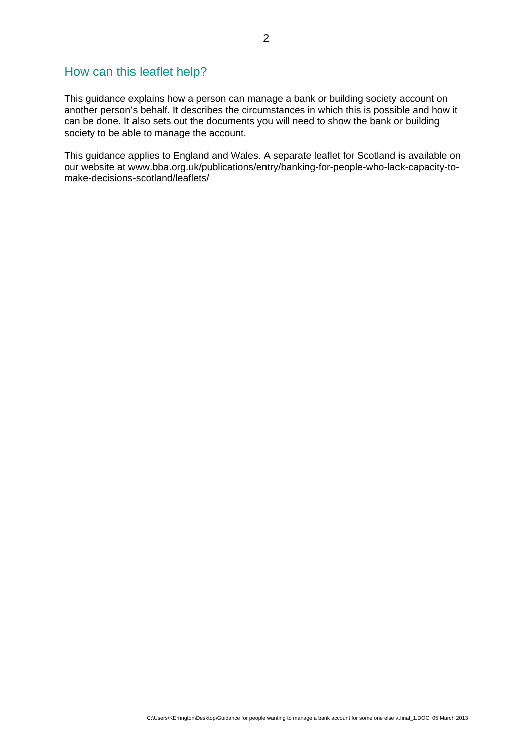# How can this leaflet help?

This guidance explains how a person can manage a bank or building society account on another person's behalf. It describes the circumstances in which this is possible and how it can be done. It also sets out the documents you will need to show the bank or building society to be able to manage the account.

This guidance applies to England and Wales. A separate leaflet for Scotland is available on our website at www.bba.org.uk/publications/entry/banking-for-people-who-lack-capacity-tomake-decisions-scotland/leaflets/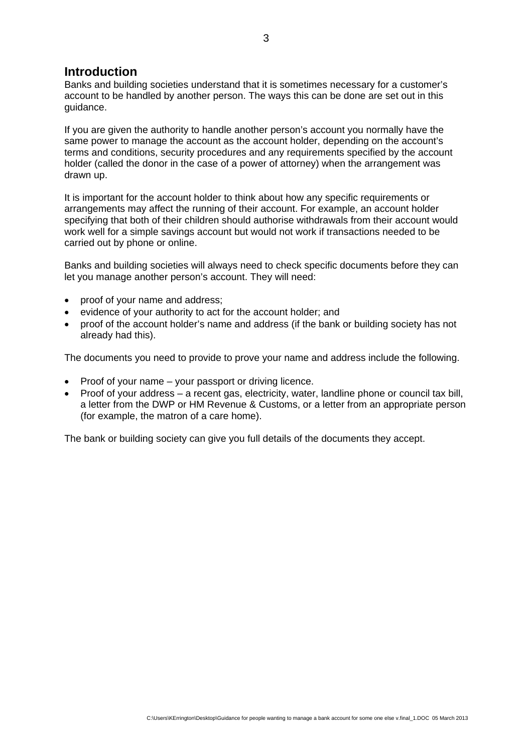# **Introduction**

Banks and building societies understand that it is sometimes necessary for a customer's account to be handled by another person. The ways this can be done are set out in this guidance.

If you are given the authority to handle another person's account you normally have the same power to manage the account as the account holder, depending on the account's terms and conditions, security procedures and any requirements specified by the account holder (called the donor in the case of a power of attorney) when the arrangement was drawn up.

It is important for the account holder to think about how any specific requirements or arrangements may affect the running of their account. For example, an account holder specifying that both of their children should authorise withdrawals from their account would work well for a simple savings account but would not work if transactions needed to be carried out by phone or online.

Banks and building societies will always need to check specific documents before they can let you manage another person's account. They will need:

- proof of your name and address;
- evidence of your authority to act for the account holder; and
- proof of the account holder's name and address (if the bank or building society has not already had this).

The documents you need to provide to prove your name and address include the following.

- Proof of your name your passport or driving licence.
- Proof of your address a recent gas, electricity, water, landline phone or council tax bill, a letter from the DWP or HM Revenue & Customs, or a letter from an appropriate person (for example, the matron of a care home).

The bank or building society can give you full details of the documents they accept.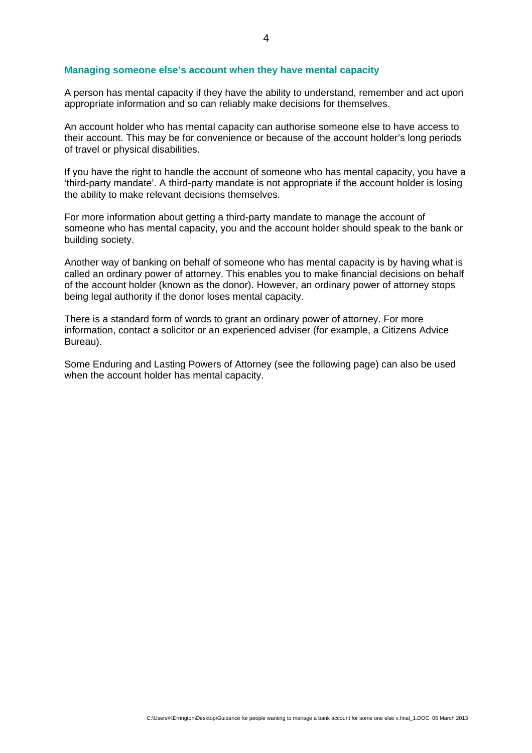#### **Managing someone else's account when they have mental capacity**

A person has mental capacity if they have the ability to understand, remember and act upon appropriate information and so can reliably make decisions for themselves.

An account holder who has mental capacity can authorise someone else to have access to their account. This may be for convenience or because of the account holder's long periods of travel or physical disabilities.

If you have the right to handle the account of someone who has mental capacity, you have a 'third-party mandate'. A third-party mandate is not appropriate if the account holder is losing the ability to make relevant decisions themselves.

For more information about getting a third-party mandate to manage the account of someone who has mental capacity, you and the account holder should speak to the bank or building society.

Another way of banking on behalf of someone who has mental capacity is by having what is called an ordinary power of attorney. This enables you to make financial decisions on behalf of the account holder (known as the donor). However, an ordinary power of attorney stops being legal authority if the donor loses mental capacity.

There is a standard form of words to grant an ordinary power of attorney. For more information, contact a solicitor or an experienced adviser (for example, a Citizens Advice Bureau).

Some Enduring and Lasting Powers of Attorney (see the following page) can also be used when the account holder has mental capacity.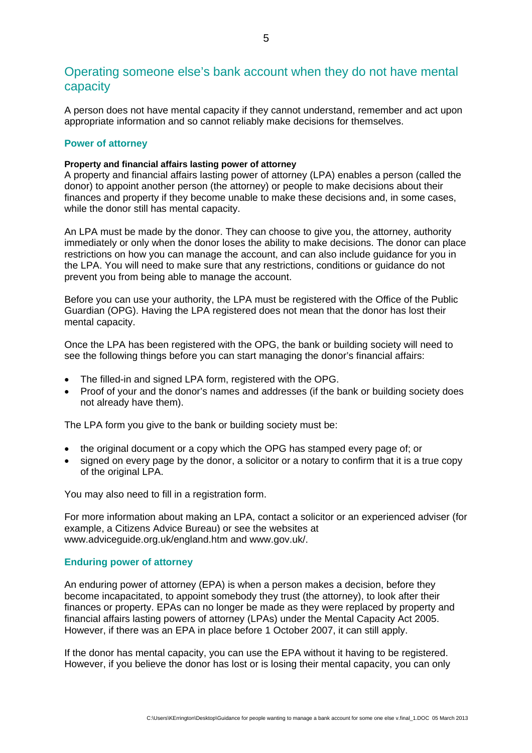# Operating someone else's bank account when they do not have mental capacity

A person does not have mental capacity if they cannot understand, remember and act upon appropriate information and so cannot reliably make decisions for themselves.

# **Power of attorney**

## **Property and financial affairs lasting power of attorney**

A property and financial affairs lasting power of attorney (LPA) enables a person (called the donor) to appoint another person (the attorney) or people to make decisions about their finances and property if they become unable to make these decisions and, in some cases, while the donor still has mental capacity.

An LPA must be made by the donor. They can choose to give you, the attorney, authority immediately or only when the donor loses the ability to make decisions. The donor can place restrictions on how you can manage the account, and can also include guidance for you in the LPA. You will need to make sure that any restrictions, conditions or guidance do not prevent you from being able to manage the account.

Before you can use your authority, the LPA must be registered with the Office of the Public Guardian (OPG). Having the LPA registered does not mean that the donor has lost their mental capacity.

Once the LPA has been registered with the OPG, the bank or building society will need to see the following things before you can start managing the donor's financial affairs:

- The filled-in and signed LPA form, registered with the OPG.
- Proof of your and the donor's names and addresses (if the bank or building society does not already have them).

The LPA form you give to the bank or building society must be:

- the original document or a copy which the OPG has stamped every page of; or
- signed on every page by the donor, a solicitor or a notary to confirm that it is a true copy of the original LPA.

You may also need to fill in a registration form.

For more information about making an LPA, contact a solicitor or an experienced adviser (for example, a Citizens Advice Bureau) or see the websites at www.adviceguide.org.uk/england.htm and www.gov.uk/.

# **Enduring power of attorney**

An enduring power of attorney (EPA) is when a person makes a decision, before they become incapacitated, to appoint somebody they trust (the attorney), to look after their finances or property. EPAs can no longer be made as they were replaced by property and financial affairs lasting powers of attorney (LPAs) under the Mental Capacity Act 2005. However, if there was an EPA in place before 1 October 2007, it can still apply.

If the donor has mental capacity, you can use the EPA without it having to be registered. However, if you believe the donor has lost or is losing their mental capacity, you can only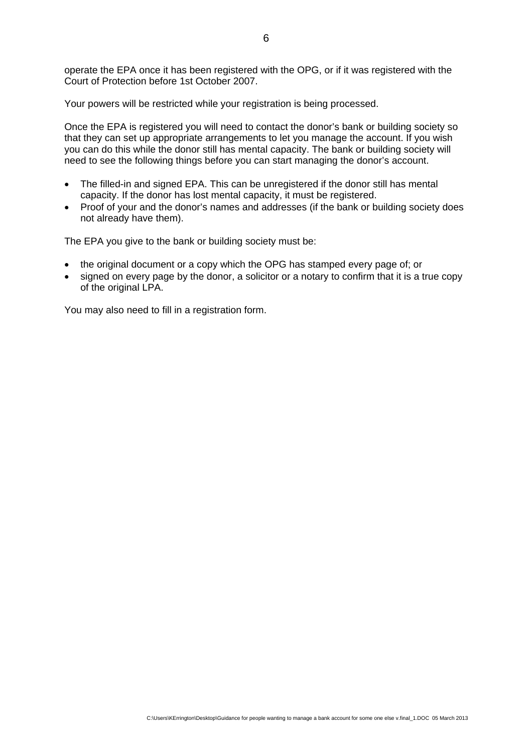operate the EPA once it has been registered with the OPG, or if it was registered with the Court of Protection before 1st October 2007.

Your powers will be restricted while your registration is being processed.

Once the EPA is registered you will need to contact the donor's bank or building society so that they can set up appropriate arrangements to let you manage the account. If you wish you can do this while the donor still has mental capacity. The bank or building society will need to see the following things before you can start managing the donor's account.

- The filled-in and signed EPA. This can be unregistered if the donor still has mental capacity. If the donor has lost mental capacity, it must be registered.
- Proof of your and the donor's names and addresses (if the bank or building society does not already have them).

The EPA you give to the bank or building society must be:

- the original document or a copy which the OPG has stamped every page of; or
- signed on every page by the donor, a solicitor or a notary to confirm that it is a true copy of the original LPA.

You may also need to fill in a registration form.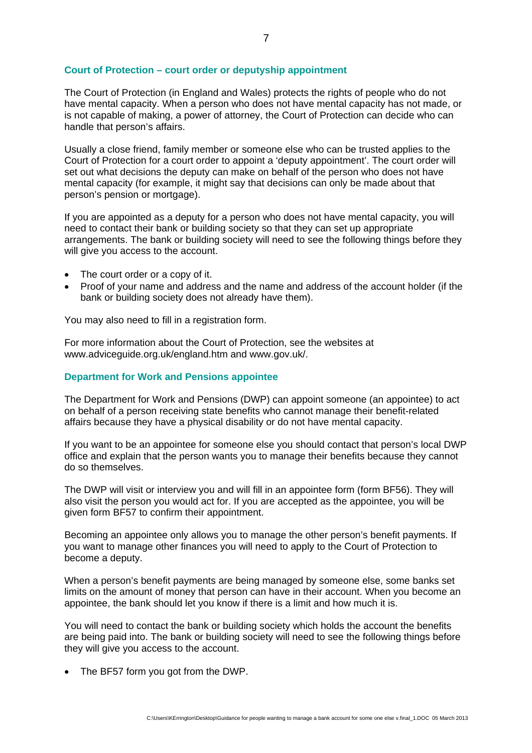## **Court of Protection – court order or deputyship appointment**

The Court of Protection (in England and Wales) protects the rights of people who do not have mental capacity. When a person who does not have mental capacity has not made, or is not capable of making, a power of attorney, the Court of Protection can decide who can handle that person's affairs.

Usually a close friend, family member or someone else who can be trusted applies to the Court of Protection for a court order to appoint a 'deputy appointment'. The court order will set out what decisions the deputy can make on behalf of the person who does not have mental capacity (for example, it might say that decisions can only be made about that person's pension or mortgage).

If you are appointed as a deputy for a person who does not have mental capacity, you will need to contact their bank or building society so that they can set up appropriate arrangements. The bank or building society will need to see the following things before they will give you access to the account.

- The court order or a copy of it.
- Proof of your name and address and the name and address of the account holder (if the bank or building society does not already have them).

You may also need to fill in a registration form.

For more information about the Court of Protection, see the websites at www.adviceguide.org.uk/england.htm and www.gov.uk/.

#### **Department for Work and Pensions appointee**

The Department for Work and Pensions (DWP) can appoint someone (an appointee) to act on behalf of a person receiving state benefits who cannot manage their benefit-related affairs because they have a physical disability or do not have mental capacity.

If you want to be an appointee for someone else you should contact that person's local DWP office and explain that the person wants you to manage their benefits because they cannot do so themselves.

The DWP will visit or interview you and will fill in an appointee form (form BF56). They will also visit the person you would act for. If you are accepted as the appointee, you will be given form BF57 to confirm their appointment.

Becoming an appointee only allows you to manage the other person's benefit payments. If you want to manage other finances you will need to apply to the Court of Protection to become a deputy.

When a person's benefit payments are being managed by someone else, some banks set limits on the amount of money that person can have in their account. When you become an appointee, the bank should let you know if there is a limit and how much it is.

You will need to contact the bank or building society which holds the account the benefits are being paid into. The bank or building society will need to see the following things before they will give you access to the account.

• The BF57 form you got from the DWP.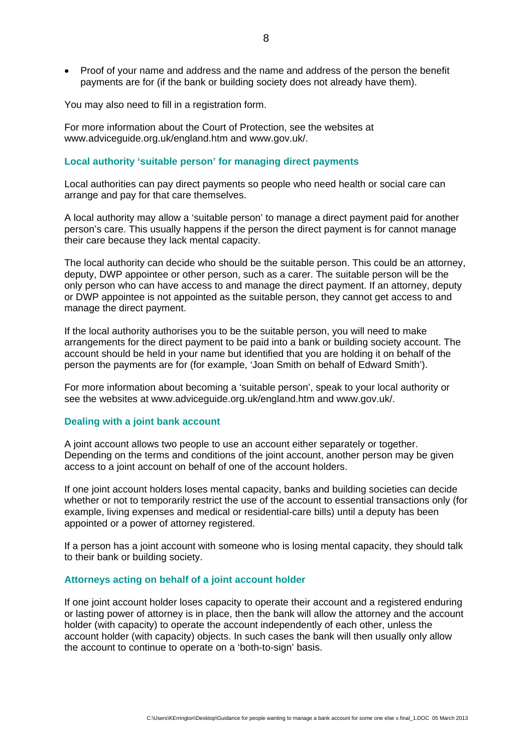• Proof of your name and address and the name and address of the person the benefit payments are for (if the bank or building society does not already have them).

You may also need to fill in a registration form.

For more information about the Court of Protection, see the websites at www.adviceguide.org.uk/england.htm and www.gov.uk/.

# **Local authority 'suitable person' for managing direct payments**

Local authorities can pay direct payments so people who need health or social care can arrange and pay for that care themselves.

A local authority may allow a 'suitable person' to manage a direct payment paid for another person's care. This usually happens if the person the direct payment is for cannot manage their care because they lack mental capacity.

The local authority can decide who should be the suitable person. This could be an attorney, deputy, DWP appointee or other person, such as a carer. The suitable person will be the only person who can have access to and manage the direct payment. If an attorney, deputy or DWP appointee is not appointed as the suitable person, they cannot get access to and manage the direct payment.

If the local authority authorises you to be the suitable person, you will need to make arrangements for the direct payment to be paid into a bank or building society account. The account should be held in your name but identified that you are holding it on behalf of the person the payments are for (for example, 'Joan Smith on behalf of Edward Smith').

For more information about becoming a 'suitable person', speak to your local authority or see the websites at www.adviceguide.org.uk/england.htm and www.gov.uk/.

#### **Dealing with a joint bank account**

A joint account allows two people to use an account either separately or together. Depending on the terms and conditions of the joint account, another person may be given access to a joint account on behalf of one of the account holders.

If one joint account holders loses mental capacity, banks and building societies can decide whether or not to temporarily restrict the use of the account to essential transactions only (for example, living expenses and medical or residential-care bills) until a deputy has been appointed or a power of attorney registered.

If a person has a joint account with someone who is losing mental capacity, they should talk to their bank or building society.

#### **Attorneys acting on behalf of a joint account holder**

If one joint account holder loses capacity to operate their account and a registered enduring or lasting power of attorney is in place, then the bank will allow the attorney and the account holder (with capacity) to operate the account independently of each other, unless the account holder (with capacity) objects. In such cases the bank will then usually only allow the account to continue to operate on a 'both-to-sign' basis.